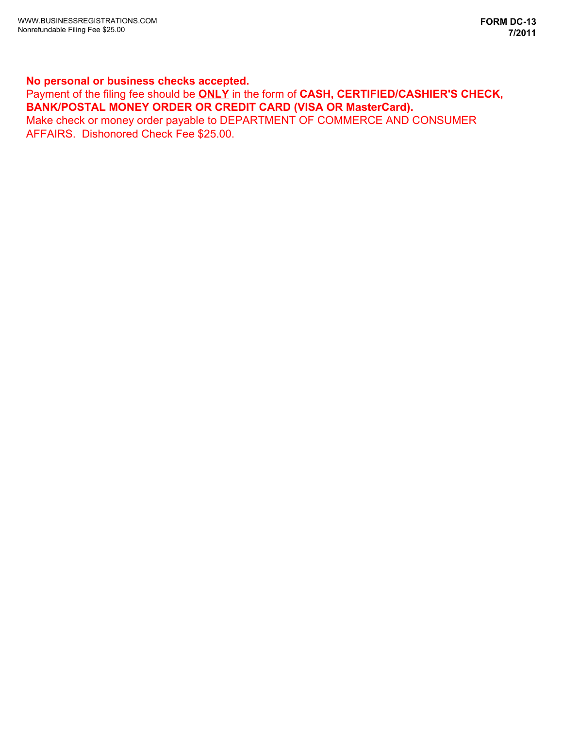## **No personal or business checks accepted.**

Payment of the filing fee should be **ONLY** in the form of **CASH, CERTIFIED/CASHIER'S CHECK, BANK/POSTAL MONEY ORDER OR CREDIT CARD (VISA OR MasterCard).** 

Make check or money order payable to DEPARTMENT OF COMMERCE AND CONSUMER AFFAIRS. Dishonored Check Fee \$25.00.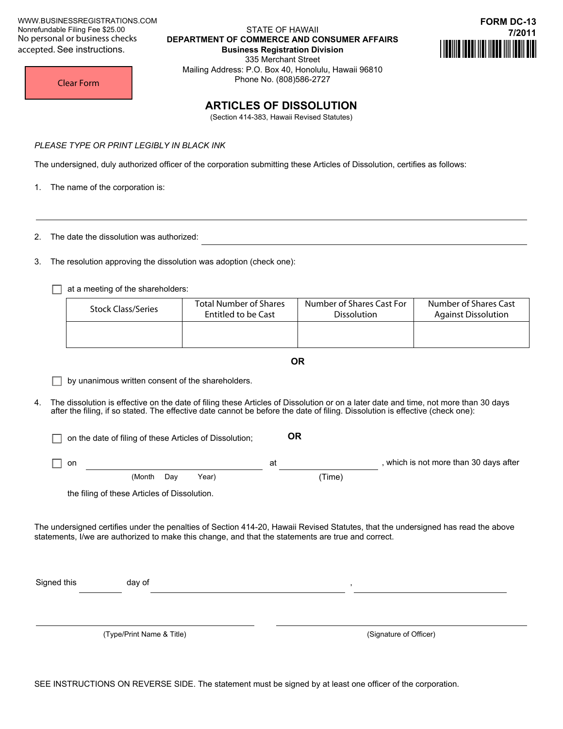WWW.BUSINESSREGISTRATIONS.COM Nonrefundable Filing Fee \$25.00 No personal or business checks accepted. See instructions.

STATE OF HAWAII **DEPARTMENT OF COMMERCE AND CONSUMER AFFAIRS Business Registration Division**  335 Merchant Street Mailing Address: P.O. Box 40, Honolulu, Hawaii 96810 Phone No. (808)586-2727



Clear Form

# **ARTICLES OF DISSOLUTION**

(Section 414-383, Hawaii Revised Statutes)

*PLEASE TYPE OR PRINT LEGIBLY IN BLACK INK* 

The undersigned, duly authorized officer of the corporation submitting these Articles of Dissolution, certifies as follows:

1. The name of the corporation is:

2. The date the dissolution was authorized:

3. The resolution approving the dissolution was adoption (check one):

 $\Box$  at a meeting of the shareholders:

| <b>Stock Class/Series</b> | <b>Total Number of Shares</b> | Number of Shares Cast For | Number of Shares Cast      |
|---------------------------|-------------------------------|---------------------------|----------------------------|
|                           | Entitled to be Cast           | <b>Dissolution</b>        | <b>Against Dissolution</b> |
|                           |                               |                           |                            |

**OR**

by unanimous written consent of the shareholders.

4. The dissolution is effective on the date of filing these Articles of Dissolution or on a later date and time, not more than 30 days after the filing, if so stated. The effective date cannot be before the date of filing. Dissolution is effective (check one):

 on the date of filing of these Articles of Dissolution; **OR** on at the contract of the contract of the contract of the contract of the contract of the contract of the contract of the contract of the contract of the contract of the contract of the contract of the contract of the cont , which is not more than 30 days after (Month Day Year) (Time) the filing of these Articles of Dissolution.

The undersigned certifies under the penalties of Section 414-20, Hawaii Revised Statutes, that the undersigned has read the above statements, I/we are authorized to make this change, and that the statements are true and correct.

Signed this day of

(Type/Print Name & Title) (Signature of Officer)

SEE INSTRUCTIONS ON REVERSE SIDE. The statement must be signed by at least one officer of the corporation.